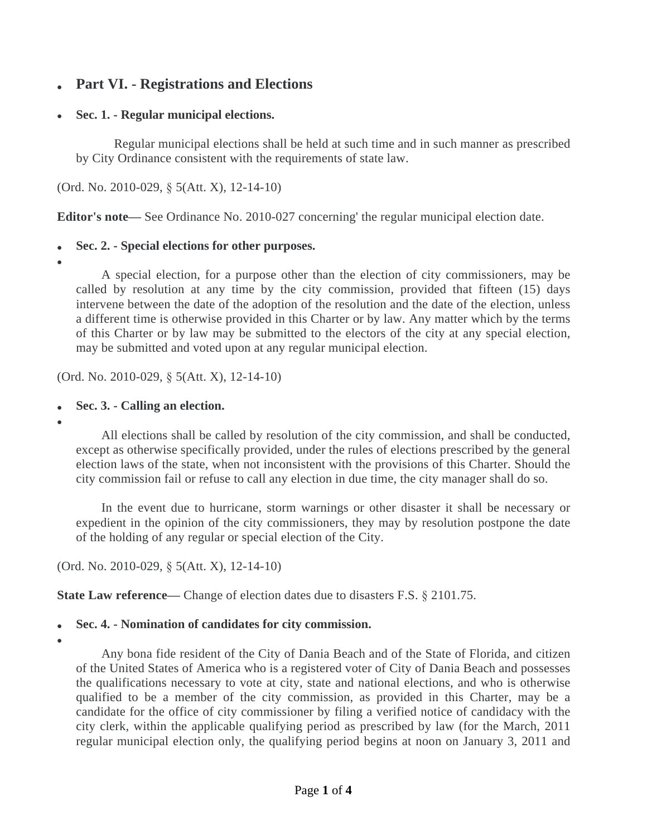# **Part VI. - Registrations and Elections**

## **Sec. 1. - Regular municipal elections.**

Regular municipal elections shall be held at such time and in such manner as prescribed by City Ordinance consistent with the requirements of state law.

(Ord. No. 2010-029, § 5(Att. X), 12-14-10)

**Editor's note—** See Ordinance No. 2010-027 concerning' the regular municipal election date.

## **Sec. 2. - Special elections for other purposes.**

 $\bullet$ 

A special election, for a purpose other than the election of city commissioners, may be called by resolution at any time by the city commission, provided that fifteen (15) days intervene between the date of the adoption of the resolution and the date of the election, unless a different time is otherwise provided in this Charter or by law. Any matter which by the terms of this Charter or by law may be submitted to the electors of the city at any special election, may be submitted and voted upon at any regular municipal election.

(Ord. No. 2010-029, § 5(Att. X), 12-14-10)

- **Sec. 3. Calling an election.**
- $\bullet$

All elections shall be called by resolution of the city commission, and shall be conducted, except as otherwise specifically provided, under the rules of elections prescribed by the general election laws of the state, when not inconsistent with the provisions of this Charter. Should the city commission fail or refuse to call any election in due time, the city manager shall do so.

In the event due to hurricane, storm warnings or other disaster it shall be necessary or expedient in the opinion of the city commissioners, they may by resolution postpone the date of the holding of any regular or special election of the City.

(Ord. No. 2010-029, § 5(Att. X), 12-14-10)

**State Law reference—** Change of election dates due to disasters F.S. § 2101.75.

## **Sec. 4. - Nomination of candidates for city commission.**

 $\bullet$ 

Any bona fide resident of the City of Dania Beach and of the State of Florida, and citizen of the United States of America who is a registered voter of City of Dania Beach and possesses the qualifications necessary to vote at city, state and national elections, and who is otherwise qualified to be a member of the city commission, as provided in this Charter, may be a candidate for the office of city commissioner by filing a verified notice of candidacy with the city clerk, within the applicable qualifying period as prescribed by law (for the March, 2011 regular municipal election only, the qualifying period begins at noon on January 3, 2011 and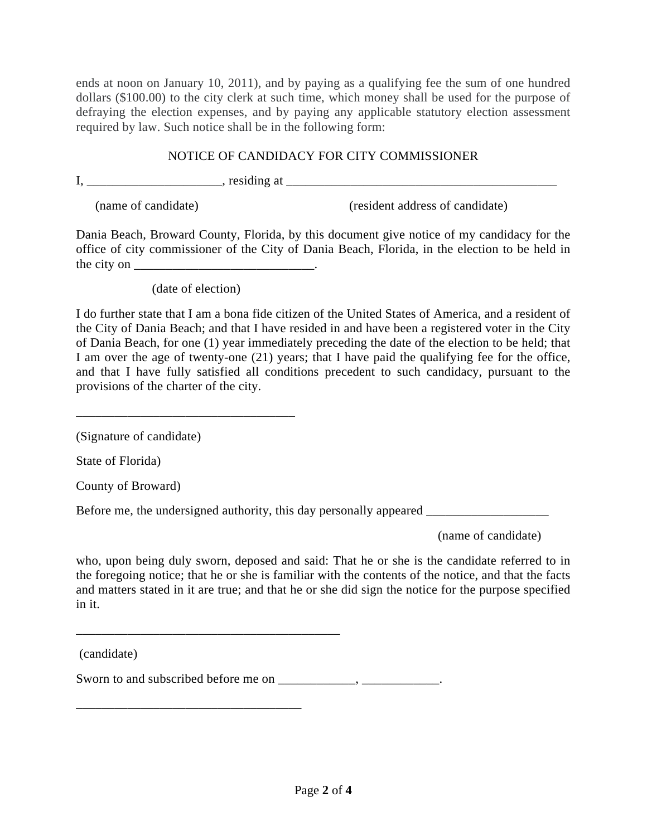ends at noon on January 10, 2011), and by paying as a qualifying fee the sum of one hundred dollars (\$100.00) to the city clerk at such time, which money shall be used for the purpose of defraying the election expenses, and by paying any applicable statutory election assessment required by law. Such notice shall be in the following form:

### NOTICE OF CANDIDACY FOR CITY COMMISSIONER

I, \_\_\_\_\_\_\_\_\_\_\_\_\_\_\_\_\_\_\_\_\_, residing at \_\_\_\_\_\_\_\_\_\_\_\_\_\_\_\_\_\_\_\_\_\_\_\_\_\_\_\_\_\_\_\_\_\_\_\_\_\_\_\_\_\_

(name of candidate) (resident address of candidate)

Dania Beach, Broward County, Florida, by this document give notice of my candidacy for the office of city commissioner of the City of Dania Beach, Florida, in the election to be held in the city on  $\frac{1}{\sqrt{1-\frac{1}{2}}}\cdot$ 

(date of election)

\_\_\_\_\_\_\_\_\_\_\_\_\_\_\_\_\_\_\_\_\_\_\_\_\_\_\_\_\_\_\_\_\_\_

I do further state that I am a bona fide citizen of the United States of America, and a resident of the City of Dania Beach; and that I have resided in and have been a registered voter in the City of Dania Beach, for one (1) year immediately preceding the date of the election to be held; that I am over the age of twenty-one (21) years; that I have paid the qualifying fee for the office, and that I have fully satisfied all conditions precedent to such candidacy, pursuant to the provisions of the charter of the city.

(Signature of candidate)

State of Florida)

County of Broward)

Before me, the undersigned authority, this day personally appeared \_\_\_\_\_\_\_\_\_\_\_\_\_\_

(name of candidate)

who, upon being duly sworn, deposed and said: That he or she is the candidate referred to in the foregoing notice; that he or she is familiar with the contents of the notice, and that the facts and matters stated in it are true; and that he or she did sign the notice for the purpose specified in it.

(candidate)

Sworn to and subscribed before me on \_\_\_\_\_\_\_\_\_\_\_, \_\_\_\_\_\_\_\_\_\_\_\_.

\_\_\_\_\_\_\_\_\_\_\_\_\_\_\_\_\_\_\_\_\_\_\_\_\_\_\_\_\_\_\_\_\_\_\_\_\_\_\_\_\_

\_\_\_\_\_\_\_\_\_\_\_\_\_\_\_\_\_\_\_\_\_\_\_\_\_\_\_\_\_\_\_\_\_\_\_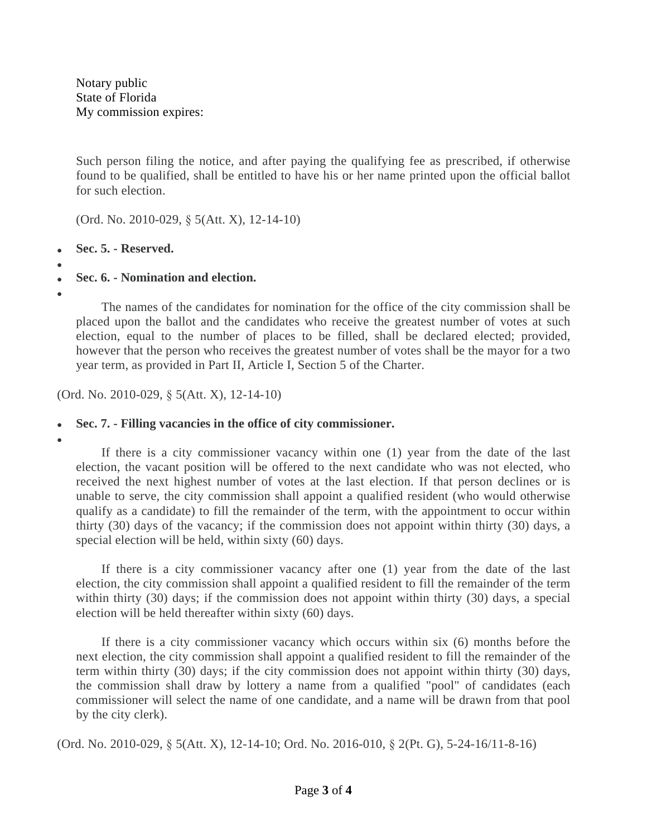Notary public State of Florida My commission expires:

Such person filing the notice, and after paying the qualifying fee as prescribed, if otherwise found to be qualified, shall be entitled to have his or her name printed upon the official ballot for such election.

(Ord. No. 2010-029, § 5(Att. X), 12-14-10)

- **Sec. 5. Reserved.**
- $\bullet$

 $\bullet$ 

**Sec. 6. - Nomination and election.**

The names of the candidates for nomination for the office of the city commission shall be placed upon the ballot and the candidates who receive the greatest number of votes at such election, equal to the number of places to be filled, shall be declared elected; provided, however that the person who receives the greatest number of votes shall be the mayor for a two year term, as provided in Part II, Article I, Section 5 of the Charter.

(Ord. No. 2010-029, § 5(Att. X), 12-14-10)

### **Sec. 7. - Filling vacancies in the office of city commissioner.**

 $\bullet$ 

If there is a city commissioner vacancy within one (1) year from the date of the last election, the vacant position will be offered to the next candidate who was not elected, who received the next highest number of votes at the last election. If that person declines or is unable to serve, the city commission shall appoint a qualified resident (who would otherwise qualify as a candidate) to fill the remainder of the term, with the appointment to occur within thirty (30) days of the vacancy; if the commission does not appoint within thirty (30) days, a special election will be held, within sixty (60) days.

If there is a city commissioner vacancy after one (1) year from the date of the last election, the city commission shall appoint a qualified resident to fill the remainder of the term within thirty (30) days; if the commission does not appoint within thirty (30) days, a special election will be held thereafter within sixty (60) days.

If there is a city commissioner vacancy which occurs within six (6) months before the next election, the city commission shall appoint a qualified resident to fill the remainder of the term within thirty (30) days; if the city commission does not appoint within thirty (30) days, the commission shall draw by lottery a name from a qualified "pool" of candidates (each commissioner will select the name of one candidate, and a name will be drawn from that pool by the city clerk).

(Ord. No. 2010-029, § 5(Att. X), 12-14-10; Ord. No. 2016-010, § 2(Pt. G), 5-24-16/11-8-16)